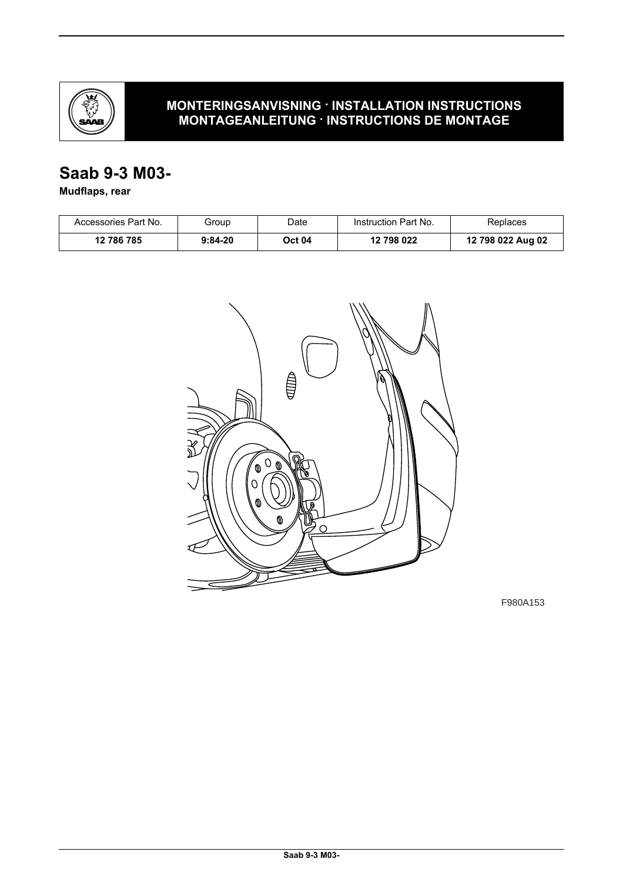

# **MONTERINGSANVISNING · INSTALLATION INSTRUCTIONS MONTAGEANLEITUNG · INSTRUCTIONS DE MONTAGE**

# **Saab 9-3 M03-**

**Mudflaps, rear**

| Accessories Part No. | Group     | Date   | Instruction Part No. | Replaces          |
|----------------------|-----------|--------|----------------------|-------------------|
| 12 786 785           | $9:84-20$ | Oct 04 | 12 798 022           | 12 798 022 Aug 02 |



F980A153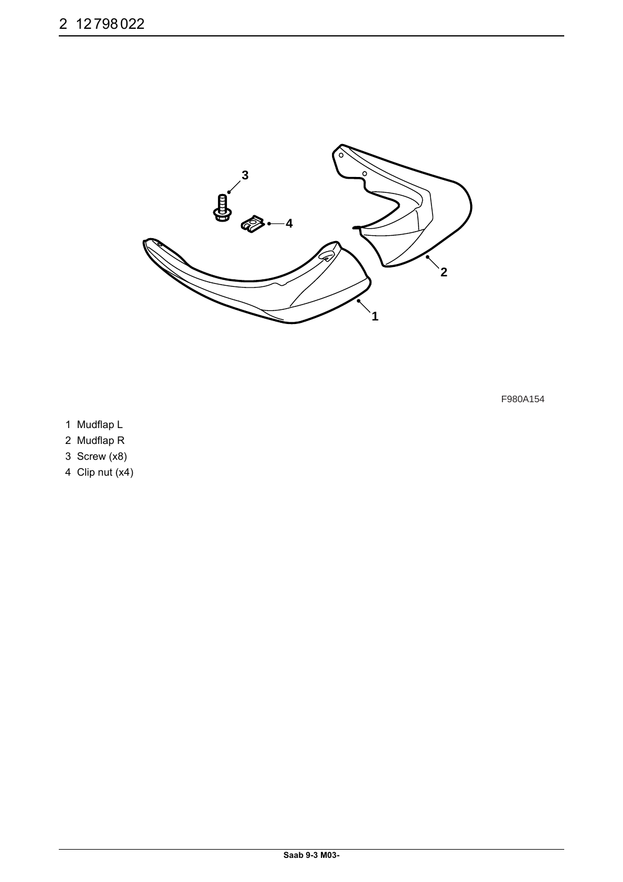

- 1 Mudflap L
- 2 Mudflap R
- 3 Screw (x8)
- 4 Clip nut (x4)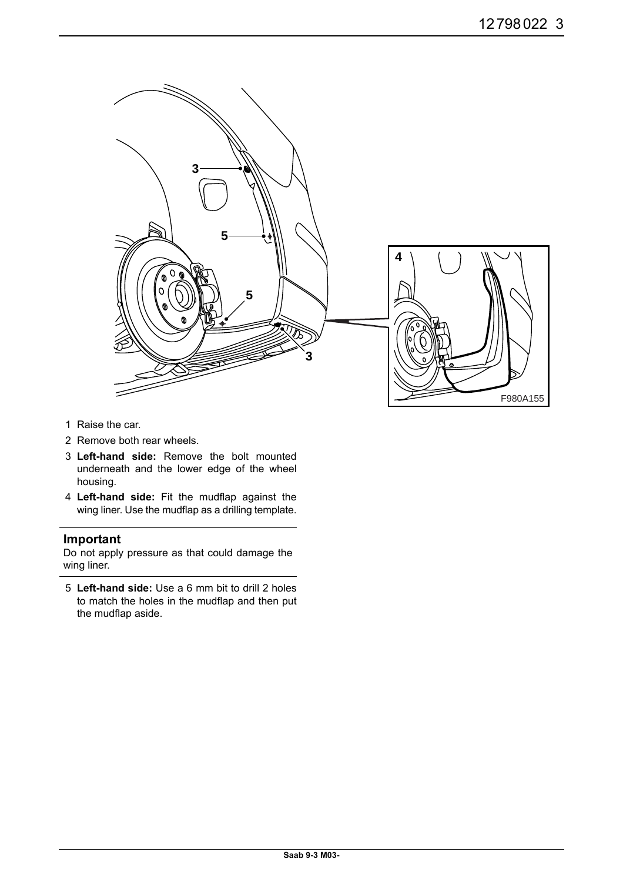

- 1 Raise the car.
- 2 Remove both rear wheels.
- 3 **Left-hand side:** Remove the bolt mounted underneath and the lower edge of the wheel housing.
- 4 **Left-hand side:** Fit the mudflap against the wing liner. Use the mudflap as a drilling template.

## **Important**

Do not apply pressure as that could damage the wing liner.

5 **Left-hand side:** Use a 6 mm bit to drill 2 holes to match the holes in the mudflap and then put the mudflap aside.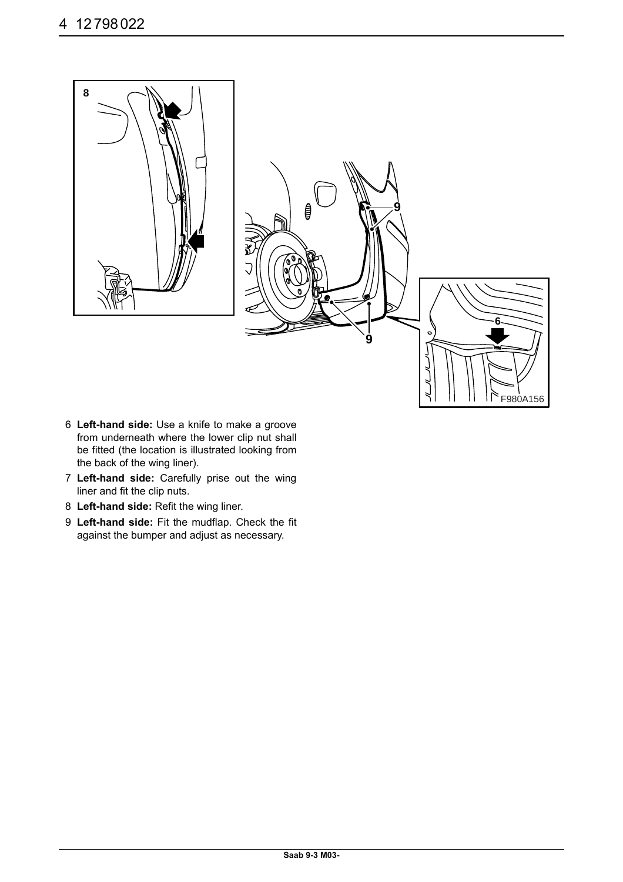

- 6 **Left-hand side:** Use a knife to make a groove from underneath where the lower clip nut shall be fitted (the location is illustrated looking from the back of the wing liner).
- 7 **Left-hand side:** Carefully prise out the wing liner and fit the clip nuts.
- 8 **Left-hand side:** Refit the wing liner.
- 9 **Left-hand side:** Fit the mudflap. Check the fit against the bumper and adjust as necessary.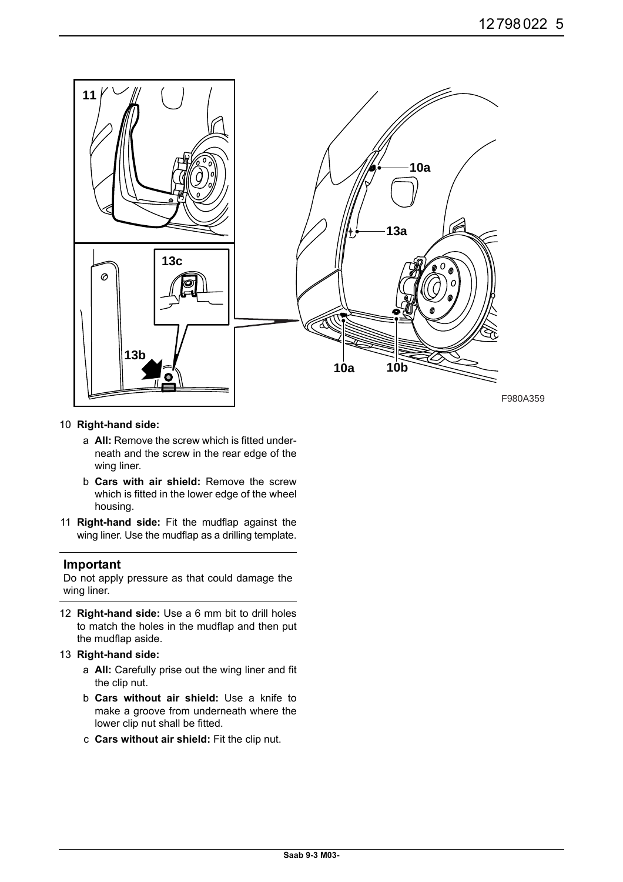

#### 10 **Right-hand side:**

- a **All:** Remove the screw which is fitted underneath and the screw in the rear edge of the wing liner.
- b **Cars with air shield:** Remove the screw which is fitted in the lower edge of the wheel housing.
- 11 **Right-hand side:** Fit the mudflap against the wing liner. Use the mudflap as a drilling template.

#### **Important**

Do not apply pressure as that could damage the wing liner.

12 **Right-hand side:** Use a 6 mm bit to drill holes to match the holes in the mudflap and then put the mudflap aside.

#### 13 **Right-hand side:**

- a **All:** Carefully prise out the wing liner and fit the clip nut.
- b **Cars without air shield:** Use a knife to make a groove from underneath where the lower clip nut shall be fitted.
- c **Cars without air shield:** Fit the clip nut.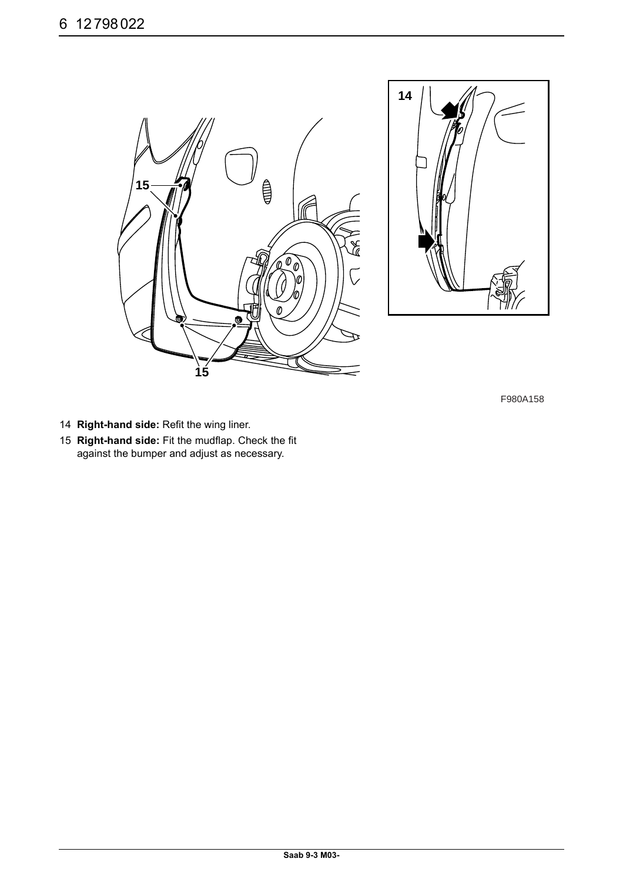



- 14 **Right-hand side:** Refit the wing liner.
- 15 **Right-hand side:** Fit the mudflap. Check the fit against the bumper and adjust as necessary.